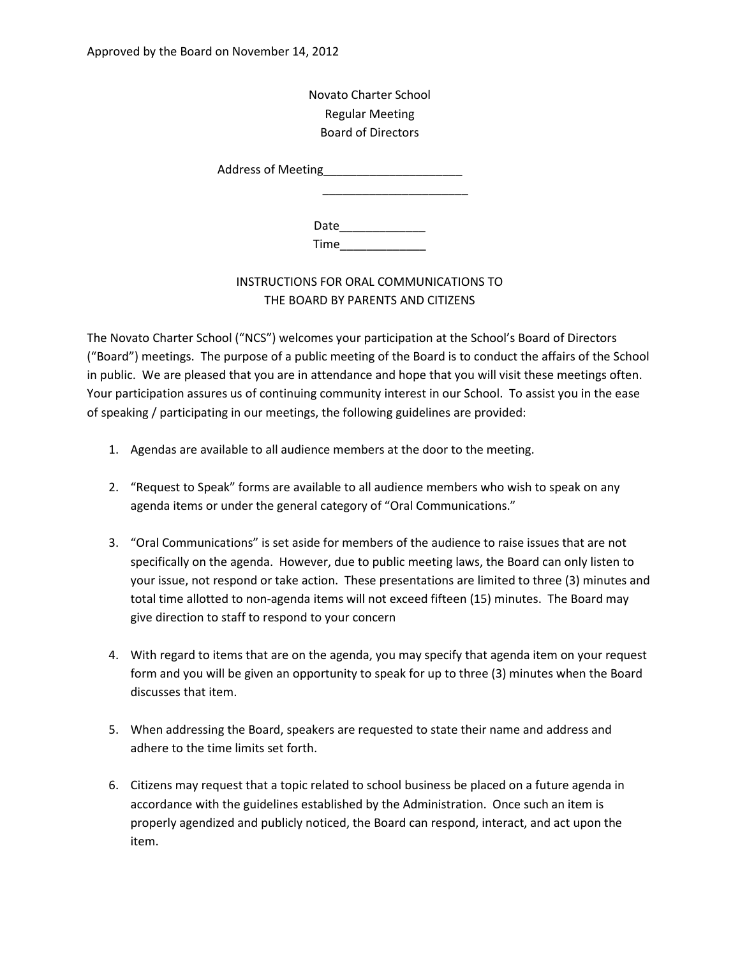Novato Charter School Regular Meeting Board of Directors

Address of Meeting\_\_\_\_\_\_\_\_\_\_\_\_\_\_\_\_\_\_\_\_\_

Date\_\_\_\_\_\_\_\_\_\_\_\_\_ Time\_\_\_\_\_\_\_\_\_\_\_\_\_

 $\frac{1}{2}$  ,  $\frac{1}{2}$  ,  $\frac{1}{2}$  ,  $\frac{1}{2}$  ,  $\frac{1}{2}$  ,  $\frac{1}{2}$  ,  $\frac{1}{2}$  ,  $\frac{1}{2}$  ,  $\frac{1}{2}$  ,  $\frac{1}{2}$  ,  $\frac{1}{2}$  ,  $\frac{1}{2}$  ,  $\frac{1}{2}$  ,  $\frac{1}{2}$  ,  $\frac{1}{2}$  ,  $\frac{1}{2}$  ,  $\frac{1}{2}$  ,  $\frac{1}{2}$  ,  $\frac{1$ 

## INSTRUCTIONS FOR ORAL COMMUNICATIONS TO THE BOARD BY PARENTS AND CITIZENS

The Novato Charter School ("NCS") welcomes your participation at the School's Board of Directors ("Board") meetings. The purpose of a public meeting of the Board is to conduct the affairs of the School in public. We are pleased that you are in attendance and hope that you will visit these meetings often. Your participation assures us of continuing community interest in our School. To assist you in the ease of speaking / participating in our meetings, the following guidelines are provided:

- 1. Agendas are available to all audience members at the door to the meeting.
- 2. "Request to Speak" forms are available to all audience members who wish to speak on any agenda items or under the general category of "Oral Communications."
- 3. "Oral Communications" is set aside for members of the audience to raise issues that are not specifically on the agenda. However, due to public meeting laws, the Board can only listen to your issue, not respond or take action. These presentations are limited to three (3) minutes and total time allotted to non-agenda items will not exceed fifteen (15) minutes. The Board may give direction to staff to respond to your concern
- 4. With regard to items that are on the agenda, you may specify that agenda item on your request form and you will be given an opportunity to speak for up to three (3) minutes when the Board discusses that item.
- 5. When addressing the Board, speakers are requested to state their name and address and adhere to the time limits set forth.
- 6. Citizens may request that a topic related to school business be placed on a future agenda in accordance with the guidelines established by the Administration. Once such an item is properly agendized and publicly noticed, the Board can respond, interact, and act upon the item.